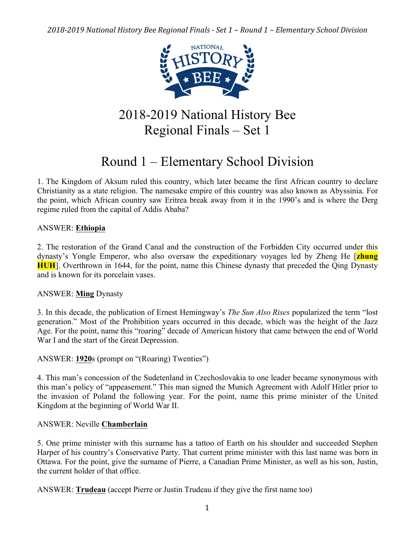

# 2018-2019 National History Bee Regional Finals – Set 1

# Round 1 – Elementary School Division

1. The Kingdom of Aksum ruled this country, which later became the first African country to declare Christianity as a state religion. The namesake empire of this country was also known as Abyssinia. For the point, which African country saw Eritrea break away from it in the 1990's and is where the Derg regime ruled from the capital of Addis Ababa?

# ANSWER: **Ethiopia**

2. The restoration of the Grand Canal and the construction of the Forbidden City occurred under this dynasty's Yongle Emperor, who also oversaw the expeditionary voyages led by Zheng He [**zhung HUH**]. Overthrown in 1644, for the point, name this Chinese dynasty that preceded the Qing Dynasty and is known for its porcelain vases.

#### ANSWER: **Ming** Dynasty

3. In this decade, the publication of Ernest Hemingway's *The Sun Also Rises* popularized the term "lost generation." Most of the Prohibition years occurred in this decade, which was the height of the Jazz Age. For the point, name this "roaring" decade of American history that came between the end of World War I and the start of the Great Depression.

# ANSWER: **1920**s (prompt on "(Roaring) Twenties")

4. This man's concession of the Sudetenland in Czechoslovakia to one leader became synonymous with this man's policy of "appeasement." This man signed the Munich Agreement with Adolf Hitler prior to the invasion of Poland the following year. For the point, name this prime minister of the United Kingdom at the beginning of World War II.

## ANSWER: Neville **Chamberlain**

5. One prime minister with this surname has a tattoo of Earth on his shoulder and succeeded Stephen Harper of his country's Conservative Party. That current prime minister with this last name was born in Ottawa. For the point, give the surname of Pierre, a Canadian Prime Minister, as well as his son, Justin, the current holder of that office.

ANSWER: **Trudeau** (accept Pierre or Justin Trudeau if they give the first name too)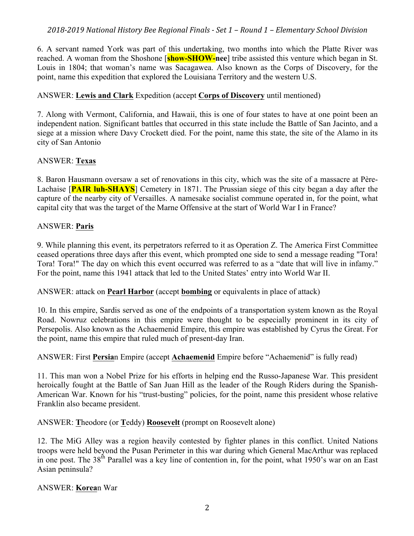6. A servant named York was part of this undertaking, two months into which the Platte River was reached. A woman from the Shoshone [**show-SHOW-nee**] tribe assisted this venture which began in St. Louis in 1804; that woman's name was Sacagawea. Also known as the Corps of Discovery, for the point, name this expedition that explored the Louisiana Territory and the western U.S.

# ANSWER: **Lewis and Clark** Expedition (accept **Corps of Discovery** until mentioned)

7. Along with Vermont, California, and Hawaii, this is one of four states to have at one point been an independent nation. Significant battles that occurred in this state include the Battle of San Jacinto, and a siege at a mission where Davy Crockett died. For the point, name this state, the site of the Alamo in its city of San Antonio

# ANSWER: **Texas**

8. Baron Hausmann oversaw a set of renovations in this city, which was the site of a massacre at Père-Lachaise [**PAIR luh-SHAYS**] Cemetery in 1871. The Prussian siege of this city began a day after the capture of the nearby city of Versailles. A namesake socialist commune operated in, for the point, what capital city that was the target of the Marne Offensive at the start of World War I in France?

# ANSWER: **Paris**

9. While planning this event, its perpetrators referred to it as Operation Z. The America First Committee ceased operations three days after this event, which prompted one side to send a message reading "Tora! Tora! Tora!" The day on which this event occurred was referred to as a "date that will live in infamy." For the point, name this 1941 attack that led to the United States' entry into World War II.

ANSWER: attack on **Pearl Harbor** (accept **bombing** or equivalents in place of attack)

10. In this empire, Sardis served as one of the endpoints of a transportation system known as the Royal Road. Nowruz celebrations in this empire were thought to be especially prominent in its city of Persepolis. Also known as the Achaemenid Empire, this empire was established by Cyrus the Great. For the point, name this empire that ruled much of present-day Iran.

# ANSWER: First **Persia**n Empire (accept **Achaemenid** Empire before "Achaemenid" is fully read)

11. This man won a Nobel Prize for his efforts in helping end the Russo-Japanese War. This president heroically fought at the Battle of San Juan Hill as the leader of the Rough Riders during the Spanish-American War. Known for his "trust-busting" policies, for the point, name this president whose relative Franklin also became president.

ANSWER: **T**heodore (or **T**eddy) **Roosevelt** (prompt on Roosevelt alone)

12. The MiG Alley was a region heavily contested by fighter planes in this conflict. United Nations troops were held beyond the Pusan Perimeter in this war during which General MacArthur was replaced in one post. The  $38<sup>th</sup>$  Parallel was a key line of contention in, for the point, what 1950's war on an East Asian peninsula?

# ANSWER: **Korea**n War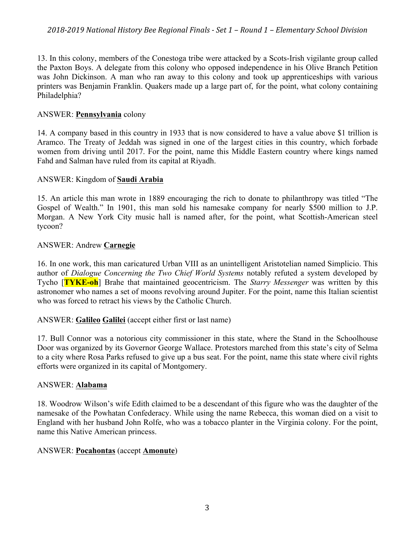13. In this colony, members of the Conestoga tribe were attacked by a Scots-Irish vigilante group called the Paxton Boys. A delegate from this colony who opposed independence in his Olive Branch Petition was John Dickinson. A man who ran away to this colony and took up apprenticeships with various printers was Benjamin Franklin. Quakers made up a large part of, for the point, what colony containing Philadelphia?

## ANSWER: **Pennsylvania** colony

14. A company based in this country in 1933 that is now considered to have a value above \$1 trillion is Aramco. The Treaty of Jeddah was signed in one of the largest cities in this country, which forbade women from driving until 2017. For the point, name this Middle Eastern country where kings named Fahd and Salman have ruled from its capital at Riyadh.

## ANSWER: Kingdom of **Saudi Arabia**

15. An article this man wrote in 1889 encouraging the rich to donate to philanthropy was titled "The Gospel of Wealth." In 1901, this man sold his namesake company for nearly \$500 million to J.P. Morgan. A New York City music hall is named after, for the point, what Scottish-American steel tycoon?

#### ANSWER: Andrew **Carnegie**

16. In one work, this man caricatured Urban VIII as an unintelligent Aristotelian named Simplicio. This author of *Dialogue Concerning the Two Chief World Systems* notably refuted a system developed by Tycho [**TYKE-oh**] Brahe that maintained geocentricism. The *Starry Messenger* was written by this astronomer who names a set of moons revolving around Jupiter. For the point, name this Italian scientist who was forced to retract his views by the Catholic Church.

#### ANSWER: **Galileo Galilei** (accept either first or last name)

17. Bull Connor was a notorious city commissioner in this state, where the Stand in the Schoolhouse Door was organized by its Governor George Wallace. Protestors marched from this state's city of Selma to a city where Rosa Parks refused to give up a bus seat. For the point, name this state where civil rights efforts were organized in its capital of Montgomery.

#### ANSWER: **Alabama**

18. Woodrow Wilson's wife Edith claimed to be a descendant of this figure who was the daughter of the namesake of the Powhatan Confederacy. While using the name Rebecca, this woman died on a visit to England with her husband John Rolfe, who was a tobacco planter in the Virginia colony. For the point, name this Native American princess.

#### ANSWER: **Pocahontas** (accept **Amonute**)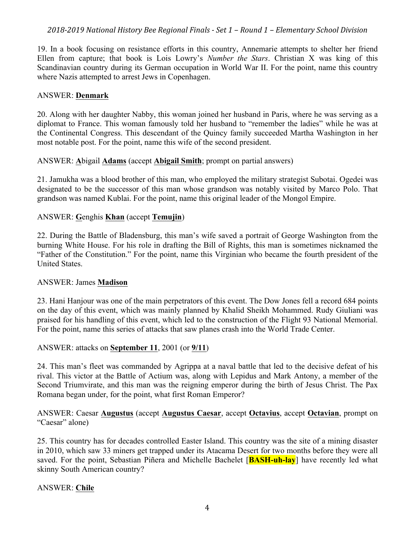19. In a book focusing on resistance efforts in this country, Annemarie attempts to shelter her friend Ellen from capture; that book is Lois Lowry's *Number the Stars*. Christian X was king of this Scandinavian country during its German occupation in World War II. For the point, name this country where Nazis attempted to arrest Jews in Copenhagen.

## ANSWER: **Denmark**

20. Along with her daughter Nabby, this woman joined her husband in Paris, where he was serving as a diplomat to France. This woman famously told her husband to "remember the ladies" while he was at the Continental Congress. This descendant of the Quincy family succeeded Martha Washington in her most notable post. For the point, name this wife of the second president.

## ANSWER: **A**bigail **Adams** (accept **Abigail Smith**; prompt on partial answers)

21. Jamukha was a blood brother of this man, who employed the military strategist Subotai. Ogedei was designated to be the successor of this man whose grandson was notably visited by Marco Polo. That grandson was named Kublai. For the point, name this original leader of the Mongol Empire.

## ANSWER: **G**enghis **Khan** (accept **Temujin**)

22. During the Battle of Bladensburg, this man's wife saved a portrait of George Washington from the burning White House. For his role in drafting the Bill of Rights, this man is sometimes nicknamed the "Father of the Constitution." For the point, name this Virginian who became the fourth president of the United States.

#### ANSWER: James **Madison**

23. Hani Hanjour was one of the main perpetrators of this event. The Dow Jones fell a record 684 points on the day of this event, which was mainly planned by Khalid Sheikh Mohammed. Rudy Giuliani was praised for his handling of this event, which led to the construction of the Flight 93 National Memorial. For the point, name this series of attacks that saw planes crash into the World Trade Center.

#### ANSWER: attacks on **September 11**, 2001 (or **9/11**)

24. This man's fleet was commanded by Agrippa at a naval battle that led to the decisive defeat of his rival. This victor at the Battle of Actium was, along with Lepidus and Mark Antony, a member of the Second Triumvirate, and this man was the reigning emperor during the birth of Jesus Christ. The Pax Romana began under, for the point, what first Roman Emperor?

## ANSWER: Caesar **Augustus** (accept **Augustus Caesar**, accept **Octavius**, accept **Octavian**, prompt on "Caesar" alone)

25. This country has for decades controlled Easter Island. This country was the site of a mining disaster in 2010, which saw 33 miners get trapped under its Atacama Desert for two months before they were all saved. For the point, Sebastian Piñera and Michelle Bachelet [**BASH-uh-lay**] have recently led what skinny South American country?

#### ANSWER: **Chile**